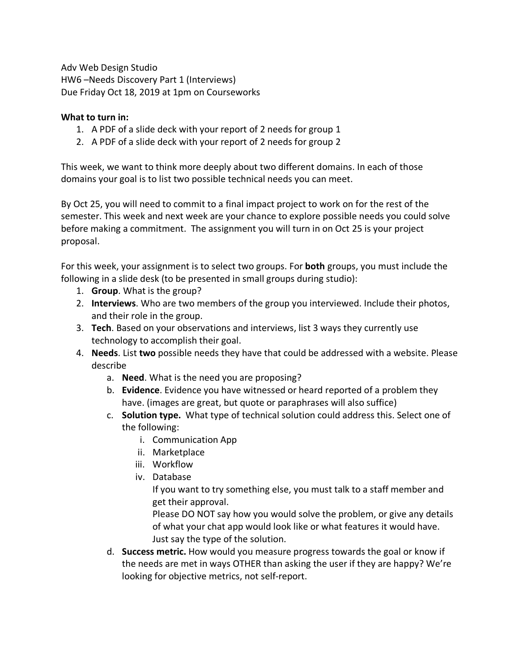Adv Web Design Studio HW6 –Needs Discovery Part 1 (Interviews) Due Friday Oct 18, 2019 at 1pm on Courseworks

## **What to turn in:**

- 1. A PDF of a slide deck with your report of 2 needs for group 1
- 2. A PDF of a slide deck with your report of 2 needs for group 2

This week, we want to think more deeply about two different domains. In each of those domains your goal is to list two possible technical needs you can meet.

By Oct 25, you will need to commit to a final impact project to work on for the rest of the semester. This week and next week are your chance to explore possible needs you could solve before making a commitment. The assignment you will turn in on Oct 25 is your project proposal.

For this week, your assignment is to select two groups. For **both** groups, you must include the following in a slide desk (to be presented in small groups during studio):

- 1. **Group**. What is the group?
- 2. **Interviews**. Who are two members of the group you interviewed. Include their photos, and their role in the group.
- 3. **Tech**. Based on your observations and interviews, list 3 ways they currently use technology to accomplish their goal.
- 4. **Needs**. List **two** possible needs they have that could be addressed with a website. Please describe
	- a. **Need**. What is the need you are proposing?
	- b. **Evidence**. Evidence you have witnessed or heard reported of a problem they have. (images are great, but quote or paraphrases will also suffice)
	- c. **Solution type.** What type of technical solution could address this. Select one of the following:
		- i. Communication App
		- ii. Marketplace
		- iii. Workflow
		- iv. Database

If you want to try something else, you must talk to a staff member and get their approval.

Please DO NOT say how you would solve the problem, or give any details of what your chat app would look like or what features it would have. Just say the type of the solution.

d. **Success metric.** How would you measure progress towards the goal or know if the needs are met in ways OTHER than asking the user if they are happy? We're looking for objective metrics, not self-report.